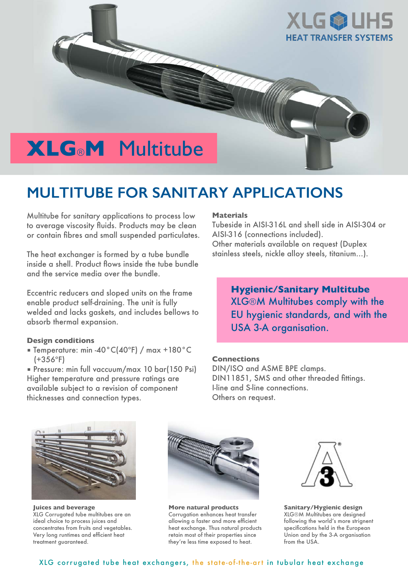

# **MULTITUBE FOR SANITARY APPLICATIONS**

Multitube for sanitary applications to process low to average viscosity fluids. Products may be clean or contain fibres and small suspended particulates.

The heat exchanger is formed by a tube bundle inside a shell. Product flows inside the tube bundle and the service media over the bundle.

Eccentric reducers and sloped units on the frame enable product self-draining. The unit is fully welded and lacks gaskets, and includes bellows to absorb thermal expansion.

#### **Design conditions**

■ Temperature: min -40°C(40ºF) / max +180°C (+356ºF)

■ Pressure: min full vaccuum/max 10 bar(150 Psi) Higher temperature and pressure ratings are available subject to a revision of component thicknesses and connection types.

#### **Materials**

Tubeside in AISI-316L and shell side in AISI-304 or AISI-316 (connections included). Other materials available on request (Duplex stainless steels, nickle alloy steels, titanium…).

### **Hygienic/Sanitary Multitube** XLG®M Multitubes comply with the EU hygienic standards, and with the USA 3-A organisation.

#### **Connections**

DIN/ISO and ASME BPE clamps. DIN11851, SMS and other threaded fittings. I-line and S-line connections. Others on request.



**Juices and beverage** XLG Corrugated tube multitubes are an ideal choice to process juices and concentrates from fruits and vegetables. Very long runtimes and efficient heat treatment guaranteed.



**More natural products** Corrugation enhances heat transfer allowing a faster and more efficient heat exchange. Thus natural products retain most of their properties since they're less time exposed to heat.



**Sanitary/Hygienic design** XLG®M Multitubes are designed following the world's more strignent specifications held in the European Union and by the 3-A organisation from the USA.

#### XLG corrugated tube heat exchangers, the state-of-the-art in tubular heat exchange